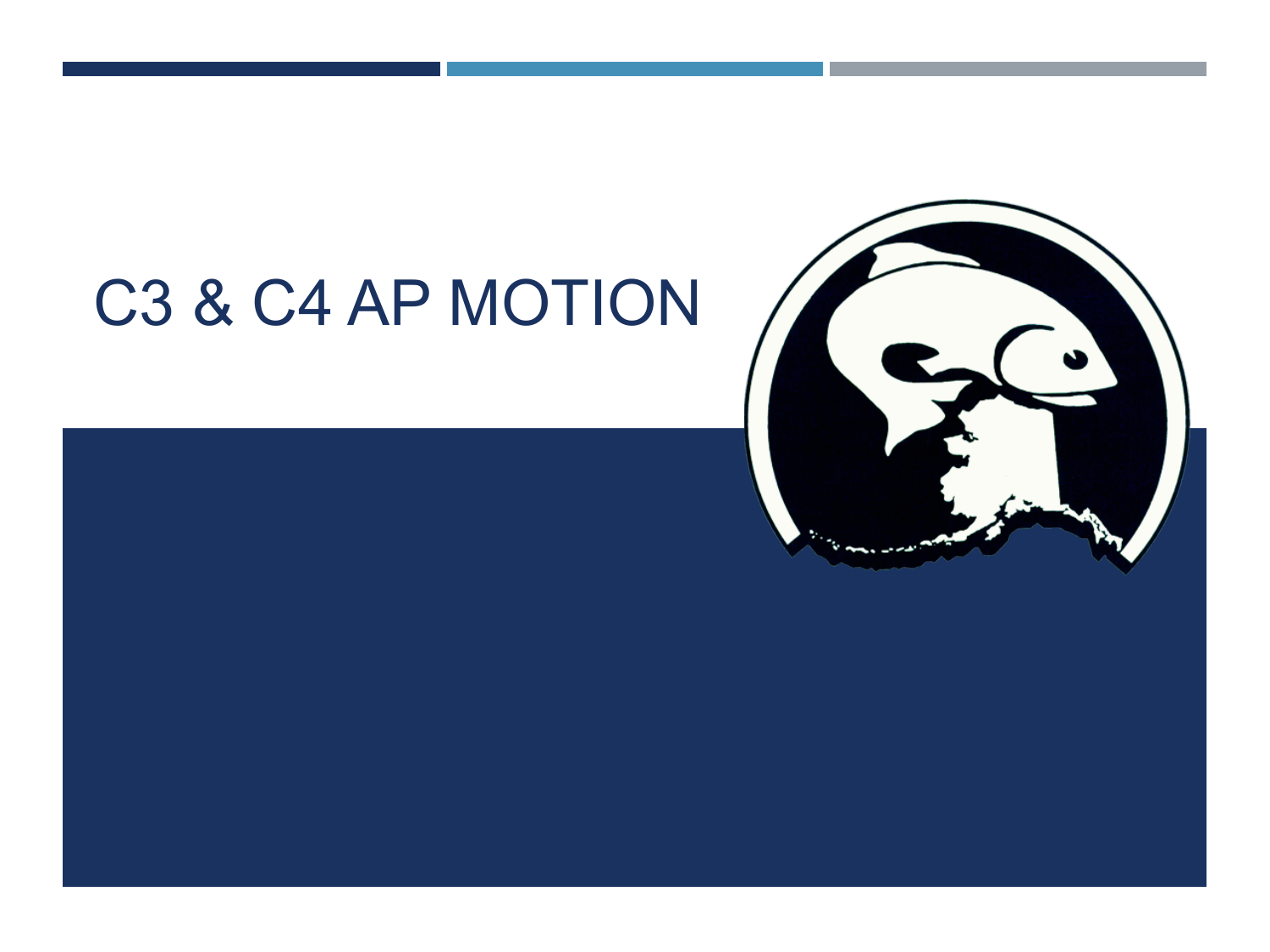# C3 & C4 AP MOTION



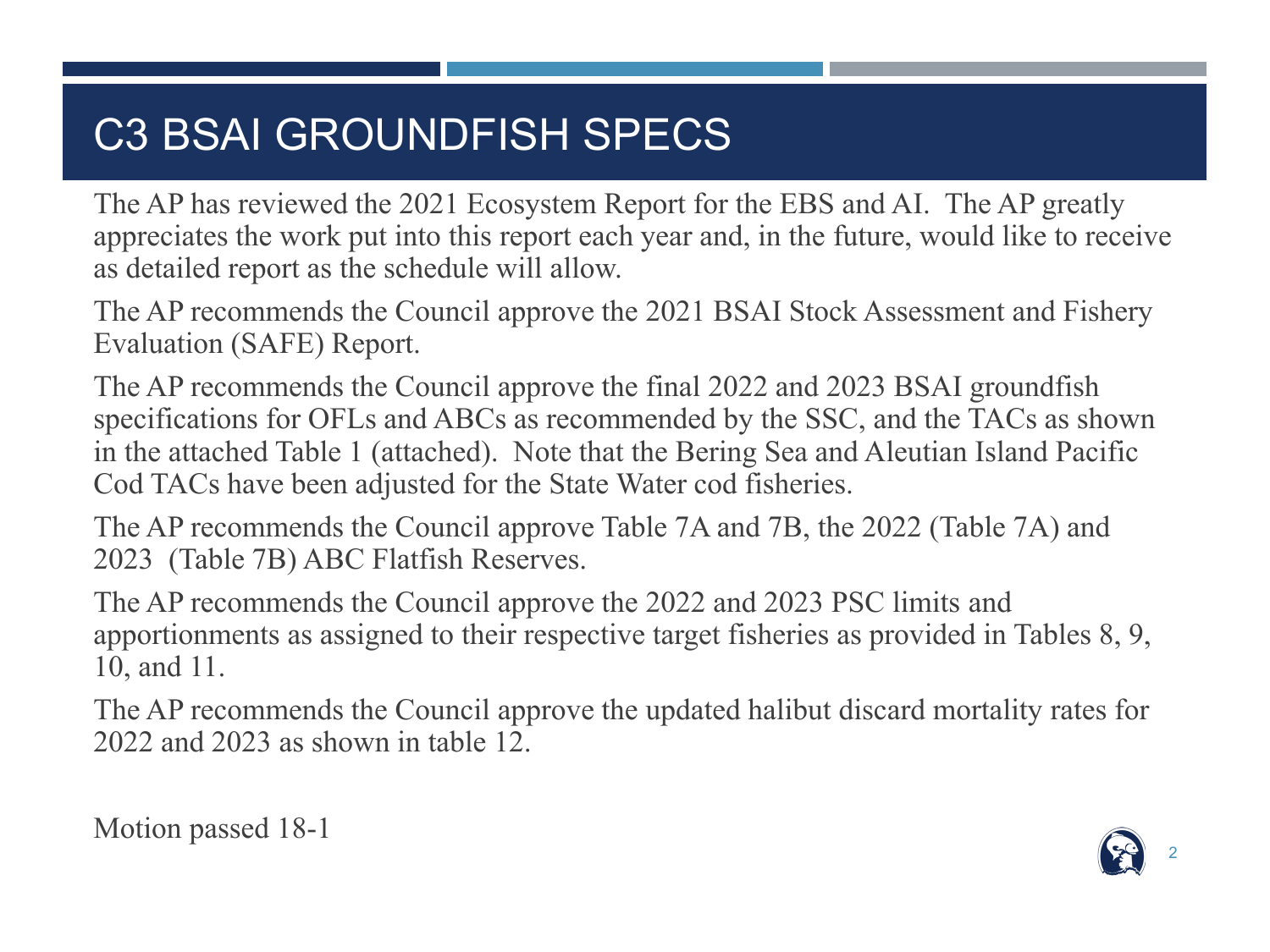# C3 BSAI GROUNDFISH SPECS

The AP has reviewed the 2021 Ecosystem Report for the EBS and AI. The AP greatly appreciates the work put into this report each year and, in the future, would like to receive as detailed report as the schedule will allow.

The AP recommends the Council approve the 2021 BSAI Stock Assessment and Fishery Evaluation (SAFE) Report.

The AP recommends the Council approve the final 2022 and 2023 BSAI groundfish specifications for OFLs and ABCs as recommended by the SSC, and the TACs as shown in the attached Table 1 (attached). Note that the Bering Sea and Aleutian Island Pacific Cod TACs have been adjusted for the State Water cod fisheries.

The AP recommends the Council approve Table 7A and 7B, the 2022 (Table 7A) and 2023 (Table 7B) ABC Flatfish Reserves.

The AP recommends the Council approve the 2022 and 2023 PSC limits and apportionments as assigned to their respective target fisheries as provided in Tables 8, 9, 10, and 11.

The AP recommends the Council approve the updated halibut discard mortality rates for 2022 and 2023 as shown in table 12.

Motion passed 18-1

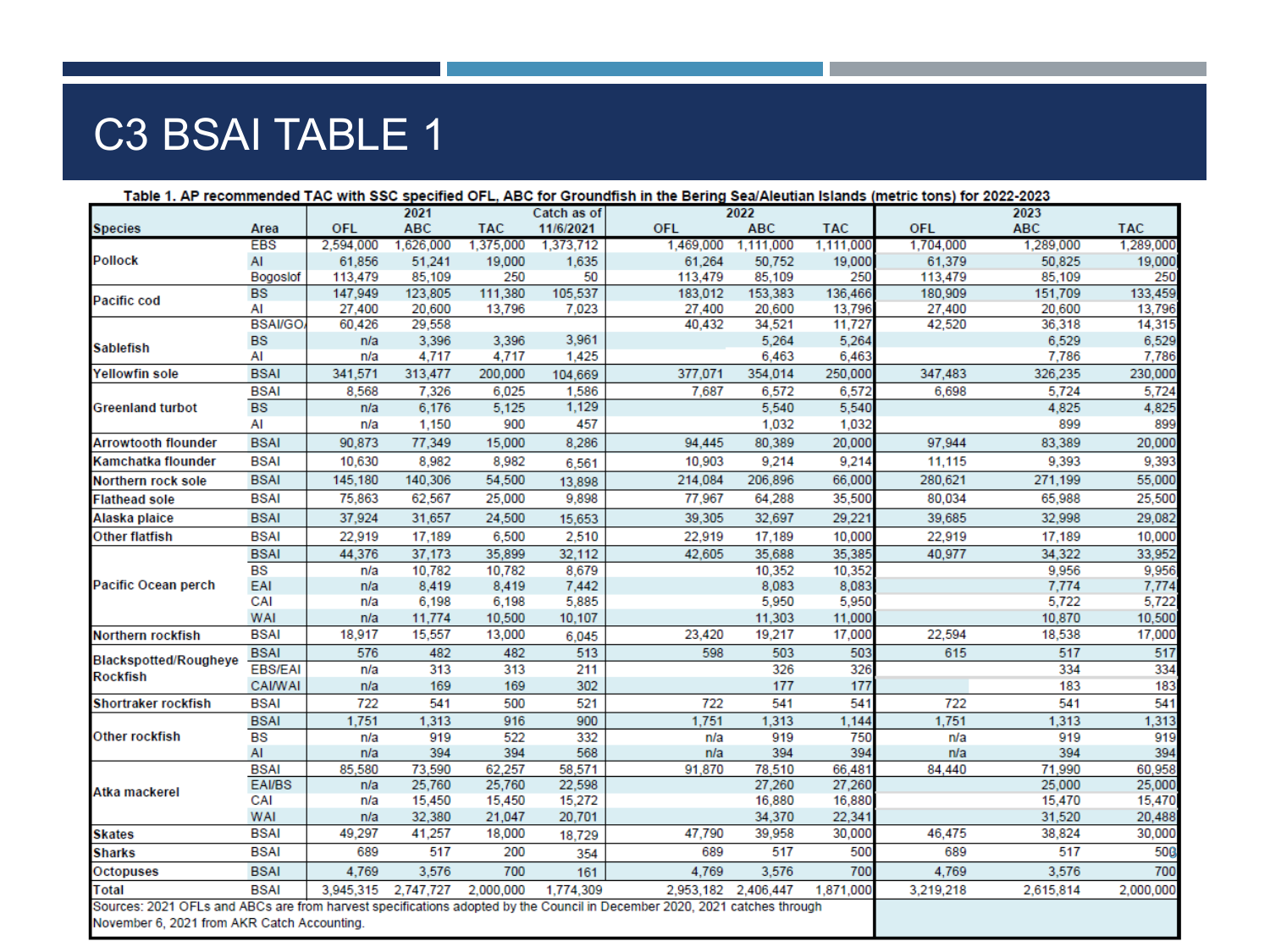## C3 BSAI TABLE 1

| Table 1. AP recommended TAC with SSC specified OFL, ABC for Groundfish in the Bering Sea/Aleutian Islands (metric tons) for 2022-2023 |                |            | 2021       |            | Catch as of |            | 2022                |            |            | 2023       |            |
|---------------------------------------------------------------------------------------------------------------------------------------|----------------|------------|------------|------------|-------------|------------|---------------------|------------|------------|------------|------------|
| <b>Species</b>                                                                                                                        | Area           | <b>OFL</b> | <b>ABC</b> | <b>TAC</b> | 11/6/2021   | <b>OFL</b> | <b>ABC</b>          | <b>TAC</b> | <b>OFL</b> | <b>ABC</b> | <b>TAC</b> |
|                                                                                                                                       | <b>EBS</b>     | 2,594,000  | 1,626,000  | 1,375,000  | 1,373,712   | 1,469,000  | 1,111,000           | 1,111,000  | 1,704,000  | 1,289,000  | 1,289,000  |
| <b>Pollock</b>                                                                                                                        | AI             | 61,856     | 51,241     | 19,000     | 1,635       | 61,264     | 50,752              | 19,000     | 61,379     | 50,825     | 19,000     |
|                                                                                                                                       | Bogoslof       | 113,479    | 85,109     | 250        | 50          | 113,479    | 85,109              | 250        | 113,479    | 85,109     | 250        |
| <b>Pacific cod</b>                                                                                                                    | <b>BS</b>      | 147,949    | 123,805    | 111,380    | 105,537     | 183,012    | 153,383             | 136,466    | 180,909    | 151,709    | 133,459    |
|                                                                                                                                       | AI             | 27,400     | 20,600     | 13,796     | 7,023       | 27,400     | 20,600              | 13,796     | 27,400     | 20,600     | 13,796     |
|                                                                                                                                       | <b>BSAI/GO</b> | 60,426     | 29,558     |            |             | 40,432     | 34,521              | 11,727     | 42,520     | 36,318     | 14,315     |
| <b>Sablefish</b>                                                                                                                      | <b>BS</b>      | n/a        | 3,396      | 3,396      | 3,961       |            | 5,264               | 5,264      |            | 6,529      | 6,529      |
|                                                                                                                                       | AI             | n/a        | 4,717      | 4,717      | 1,425       |            | 6,463               | 6,463      |            | 7,786      | 7,786      |
| <b>Yellowfin sole</b>                                                                                                                 | <b>BSAI</b>    | 341,571    | 313,477    | 200,000    | 104,669     | 377,071    | 354,014             | 250,000    | 347,483    | 326,235    | 230,000    |
|                                                                                                                                       | <b>BSAI</b>    | 8,568      | 7,326      | 6,025      | 1,586       | 7,687      | 6,572               | 6,572      | 6,698      | 5,724      | 5,724      |
| <b>Greenland turbot</b>                                                                                                               | <b>BS</b>      | n/a        | 6,176      | 5,125      | 1,129       |            | 5,540               | 5,540      |            | 4,825      | 4,825      |
|                                                                                                                                       | AI             | n/a        | 1,150      | 900        | 457         |            | 1,032               | 1,032      |            | 899        | 899        |
| <b>Arrowtooth flounder</b>                                                                                                            | <b>BSAI</b>    | 90,873     | 77,349     | 15,000     | 8,286       | 94,445     | 80,389              | 20,000     | 97,944     | 83,389     | 20,000     |
| Kamchatka flounder                                                                                                                    | <b>BSAI</b>    | 10,630     | 8.982      | 8,982      | 6,561       | 10,903     | 9,214               | 9,214      | 11,115     | 9,393      | 9,393      |
| Northern rock sole                                                                                                                    | <b>BSAI</b>    | 145,180    | 140,306    | 54,500     | 13,898      | 214,084    | 206,896             | 66,000     | 280,621    | 271,199    | 55,000     |
| <b>Flathead sole</b>                                                                                                                  | <b>BSAI</b>    | 75,863     | 62,567     | 25,000     | 9,898       | 77,967     | 64,288              | 35,500     | 80,034     | 65,988     | 25,500     |
| Alaska plaice                                                                                                                         | <b>BSAI</b>    | 37,924     | 31,657     | 24,500     | 15,653      | 39,305     | 32,697              | 29,221     | 39,685     | 32,998     | 29,082     |
| Other flatfish                                                                                                                        | <b>BSAI</b>    | 22,919     | 17,189     | 6,500      | 2,510       | 22,919     | 17,189              | 10,000     | 22,919     | 17,189     | 10,000     |
|                                                                                                                                       | <b>BSAI</b>    | 44,376     | 37,173     | 35,899     | 32,112      | 42,605     | 35,688              | 35,385     | 40,977     | 34,322     | 33,952     |
|                                                                                                                                       | <b>BS</b>      | n/a        | 10,782     | 10,782     | 8,679       |            | 10,352              | 10,352     |            | 9,956      | 9,956      |
| <b>Pacific Ocean perch</b>                                                                                                            | EAI            | n/a        | 8,419      | 8,419      | 7,442       |            | 8,083               | 8,083      |            | 7,774      | 7,774      |
|                                                                                                                                       | CAI            | n/a        | 6,198      | 6,198      | 5,885       |            | 5,950               | 5,950      |            | 5,722      | 5,722      |
|                                                                                                                                       | <b>WAI</b>     | n/a        | 11,774     | 10,500     | 10,107      |            | 11,303              | 11,000     |            | 10,870     | 10,500     |
| Northern rockfish                                                                                                                     | <b>BSAI</b>    | 18,917     | 15,557     | 13,000     | 6,045       | 23,420     | 19,217              | 17,000     | 22,594     | 18,538     | 17,000     |
| <b>Blackspotted/Rougheye</b>                                                                                                          | <b>BSAI</b>    | 576        | 482        | 482        | 513         | 598        | 503                 | 503        | 615        | 517        | 517        |
| <b>Rockfish</b>                                                                                                                       | <b>EBS/EAI</b> | n/a        | 313        | 313        | 211         |            | 326                 | 326        |            | 334        | 334        |
|                                                                                                                                       | <b>CAI/WAI</b> | n/a        | 169        | 169        | 302         |            | 177                 | 177        |            | 183        | 183        |
| <b>Shortraker rockfish</b>                                                                                                            | <b>BSAI</b>    | 722        | 541        | 500        | 521         | 722        | 541                 | 541        | 722        | 541        | 541        |
|                                                                                                                                       | <b>BSAI</b>    | 1,751      | 1,313      | 916        | 900         | 1,751      | 1,313               | 1,144      | 1,751      | 1,313      | 1,313      |
| Other rockfish                                                                                                                        | <b>BS</b>      | n/a        | 919        | 522        | 332         | n/a        | 919                 | 750        | n/a        | 919        | 919        |
|                                                                                                                                       | AI             | n/a        | 394        | 394        | 568         | n/a        | 394                 | 394        | n/a        | 394        | 394        |
|                                                                                                                                       | <b>BSAI</b>    | 85,580     | 73,590     | 62,257     | 58,571      | 91,870     | 78,510              | 66,481     | 84,440     | 71,990     | 60,958     |
| Atka mackerel                                                                                                                         | EAI/BS         | n/a        | 25,760     | 25,760     | 22,598      |            | 27,260              | 27,260     |            | 25,000     | 25,000     |
|                                                                                                                                       | CAI            | n/a        | 15,450     | 15,450     | 15,272      |            | 16,880              | 16,880     |            | 15,470     | 15,470     |
|                                                                                                                                       | <b>WAI</b>     | n/a        | 32,380     | 21,047     | 20,701      |            | 34,370              | 22,341     |            | 31,520     | 20,488     |
| <b>Skates</b>                                                                                                                         | <b>BSAI</b>    | 49,297     | 41,257     | 18,000     | 18,729      | 47,790     | 39,958              | 30,000     | 46,475     | 38,824     | 30,000     |
| <b>Sharks</b>                                                                                                                         | <b>BSAI</b>    | 689        | 517        | 200        | 354         | 689        | 517                 | 500        | 689        | 517        | 500        |
| Octopuses                                                                                                                             | <b>BSAI</b>    | 4,769      | 3,576      | 700        | 161         | 4,769      | 3,576               | 700        | 4,769      | 3,576      | 700        |
| Total                                                                                                                                 | <b>BSAI</b>    | 3,945,315  | 2,747,727  | 2,000,000  | 1,774,309   |            | 2,953,182 2,406,447 | 1,871,000  | 3,219,218  | 2,615,814  | 2,000,000  |
| Sources: 2021 OFLs and ABCs are from harvest specifications adopted by the Council in December 2020, 2021 catches through             |                |            |            |            |             |            |                     |            |            |            |            |
| November 6, 2021 from AKR Catch Accounting.                                                                                           |                |            |            |            |             |            |                     |            |            |            |            |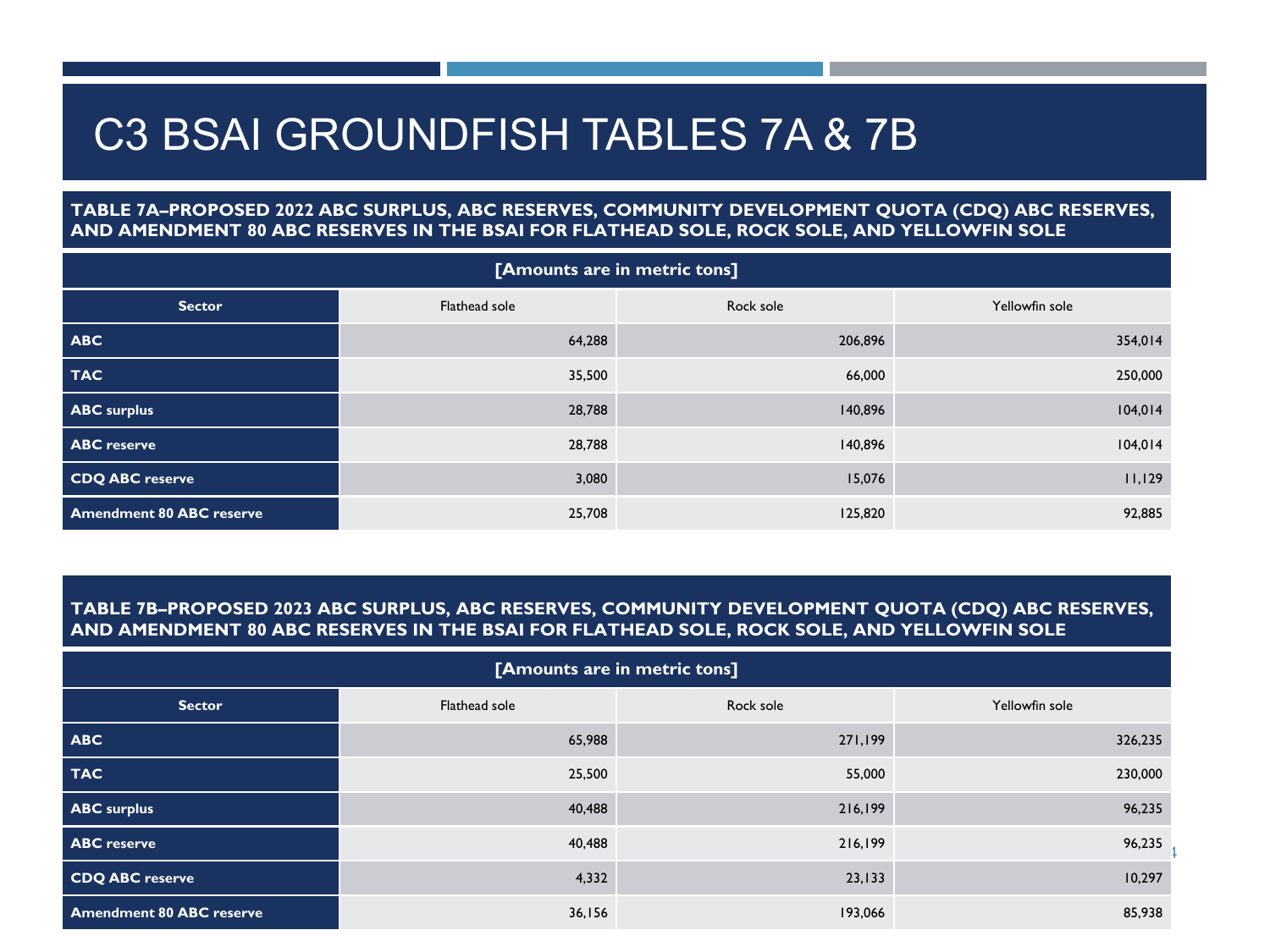### C3 BSAI GROUNDFISH TABLES 7A & 7B

### **TABLE 7A–PROPOSED 2022 ABC SURPLUS, ABC RESERVES, COMMUNITY DEVELOPMENT QUOTA (CDQ) ABC RESERVES, AND AMENDMENT 80 ABC RESERVES IN THE BSAI FOR FLATHEAD SOLE, ROCK SOLE, AND YELLOWFIN SOLE**

| [Amounts are in metric tons]    |               |           |                |  |  |
|---------------------------------|---------------|-----------|----------------|--|--|
| <b>Sector</b>                   | Flathead sole | Rock sole | Yellowfin sole |  |  |
| <b>ABC</b>                      | 64,288        | 206,896   | 354,014        |  |  |
| <b>TAC</b>                      | 35,500        | 66,000    | 250,000        |  |  |
| <b>ABC</b> surplus              | 28,788        | 140,896   | 104,014        |  |  |
| <b>ABC</b> reserve              | 28,788        | 140,896   | 104,014        |  |  |
| CDQ ABC reserve                 | 3,080         | 15,076    | 11,129         |  |  |
| <b>Amendment 80 ABC reserve</b> | 25,708        | 125,820   | 92,885         |  |  |

#### **TABLE 7B–PROPOSED 2023 ABC SURPLUS, ABC RESERVES, COMMUNITY DEVELOPMENT QUOTA (CDQ) ABC RESERVES, AND AMENDMENT 80 ABC RESERVES IN THE BSAI FOR FLATHEAD SOLE, ROCK SOLE, AND YELLOWFIN SOLE**

| [Amounts are in metric tons]    |               |           |                |  |  |  |
|---------------------------------|---------------|-----------|----------------|--|--|--|
| <b>Sector</b>                   | Flathead sole | Rock sole | Yellowfin sole |  |  |  |
| <b>ABC</b>                      | 65,988        | 271,199   | 326,235        |  |  |  |
| <b>TAC</b>                      | 25,500        | 55,000    | 230,000        |  |  |  |
| <b>ABC</b> surplus              | 40,488        | 216,199   | 96,235         |  |  |  |
| <b>ABC</b> reserve              | 40,488        | 216,199   | 96,235         |  |  |  |
| CDQ ABC reserve                 | 4,332         | 23,133    | 10,297         |  |  |  |
| <b>Amendment 80 ABC reserve</b> | 36,156        | 193,066   | 85,938         |  |  |  |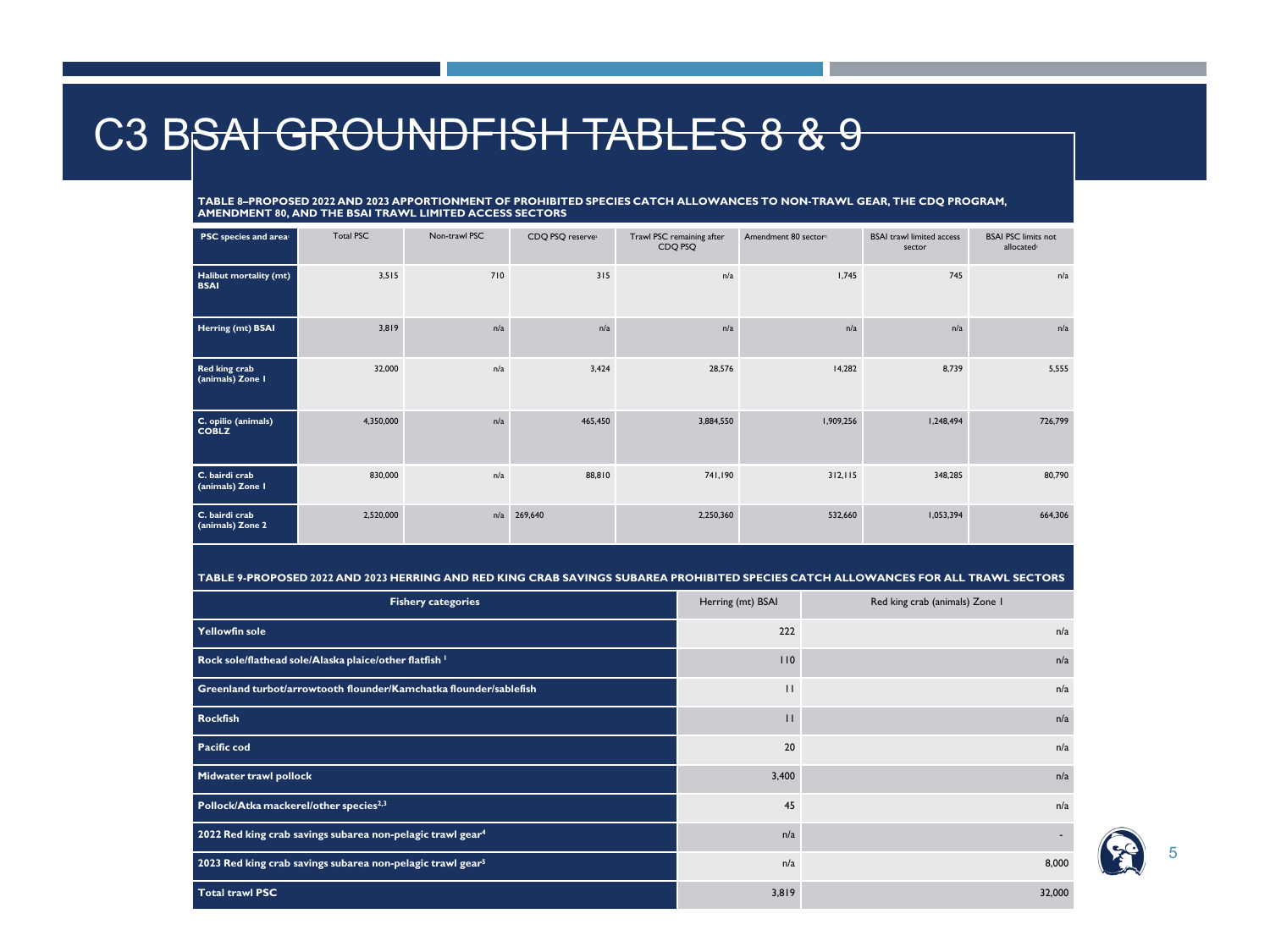### C3 BSAI GROUNDFISH TABLES 8 & 9

**TABLE 8–PROPOSED 2022 AND 2023 APPORTIONMENT OF PROHIBITED SPECIES CATCH ALLOWANCES TO NON-TRAWL GEAR, THE CDQ PROGRAM, AMENDMENT 80, AND THE BSAI TRAWL LIMITED ACCESS SECTORS**

| PSC species and area                  | <b>Total PSC</b> | Non-trawl PSC | CDQ PSQ reserve | Trawl PSC remaining after<br>CDQ PSQ | Amendment 80 sector | <b>BSAI</b> trawl limited access<br>sector | <b>BSAI PSC limits not</b><br>allocated <sup>2</sup> |
|---------------------------------------|------------------|---------------|-----------------|--------------------------------------|---------------------|--------------------------------------------|------------------------------------------------------|
| Halibut mortality (mt)<br><b>BSAI</b> | 3,515            | 710           | 315             | n/a                                  | 1,745               | 745                                        | n/a                                                  |
| Herring (mt) BSAI                     | 3,819            | n/a           | n/a             | n/a                                  | n/a                 | n/a                                        | n/a                                                  |
| Red king crab<br>(animals) Zone I     | 32,000           | n/a           | 3,424           | 28,576                               | 14,282              | 8,739                                      | 5,555                                                |
| C. opilio (animals)<br><b>COBLZ</b>   | 4,350,000        | n/a           | 465,450         | 3,884,550                            | 1,909,256           | 1,248,494                                  | 726,799                                              |
| C. bairdi crab<br>(animals) Zone I    | 830,000          | n/a           | 88,810          | 741,190                              | 312, 115            | 348,285                                    | 80,790                                               |
| C. bairdi crab<br>(animals) Zone 2    | 2,520,000        | n/a           | 269,640         | 2,250,360                            | 532,660             | 1,053,394                                  | 664,306                                              |

**TABLE 9-PROPOSED 2022 AND 2023 HERRING AND RED KING CRAB SAVINGS SUBAREA PROHIBITED SPECIES CATCH ALLOWANCES FOR ALL TRAWL SECTORS**

| <b>Fishery categories</b>                                              | Herring (mt) BSAI | Red king crab (animals) Zone I |
|------------------------------------------------------------------------|-------------------|--------------------------------|
| Yellowfin sole                                                         | 222               | n/a                            |
| Rock sole/flathead sole/Alaska plaice/other flatfish 1                 | 110               | n/a                            |
| Greenland turbot/arrowtooth flounder/Kamchatka flounder/sablefish      | $\mathbf{I}$      | n/a                            |
| Rockfish                                                               | п                 | n/a                            |
| <b>Pacific cod</b>                                                     | 20                | n/a                            |
| Midwater trawl pollock                                                 | 3,400             | n/a                            |
| Pollock/Atka mackerel/other species <sup>2,3</sup>                     | 45                | n/a                            |
| 2022 Red king crab savings subarea non-pelagic trawl gear <sup>4</sup> | n/a               |                                |
| 2023 Red king crab savings subarea non-pelagic trawl gear <sup>5</sup> | n/a               | 8,000                          |
| <b>Total trawl PSC</b>                                                 | 3,819             | 32,000                         |

5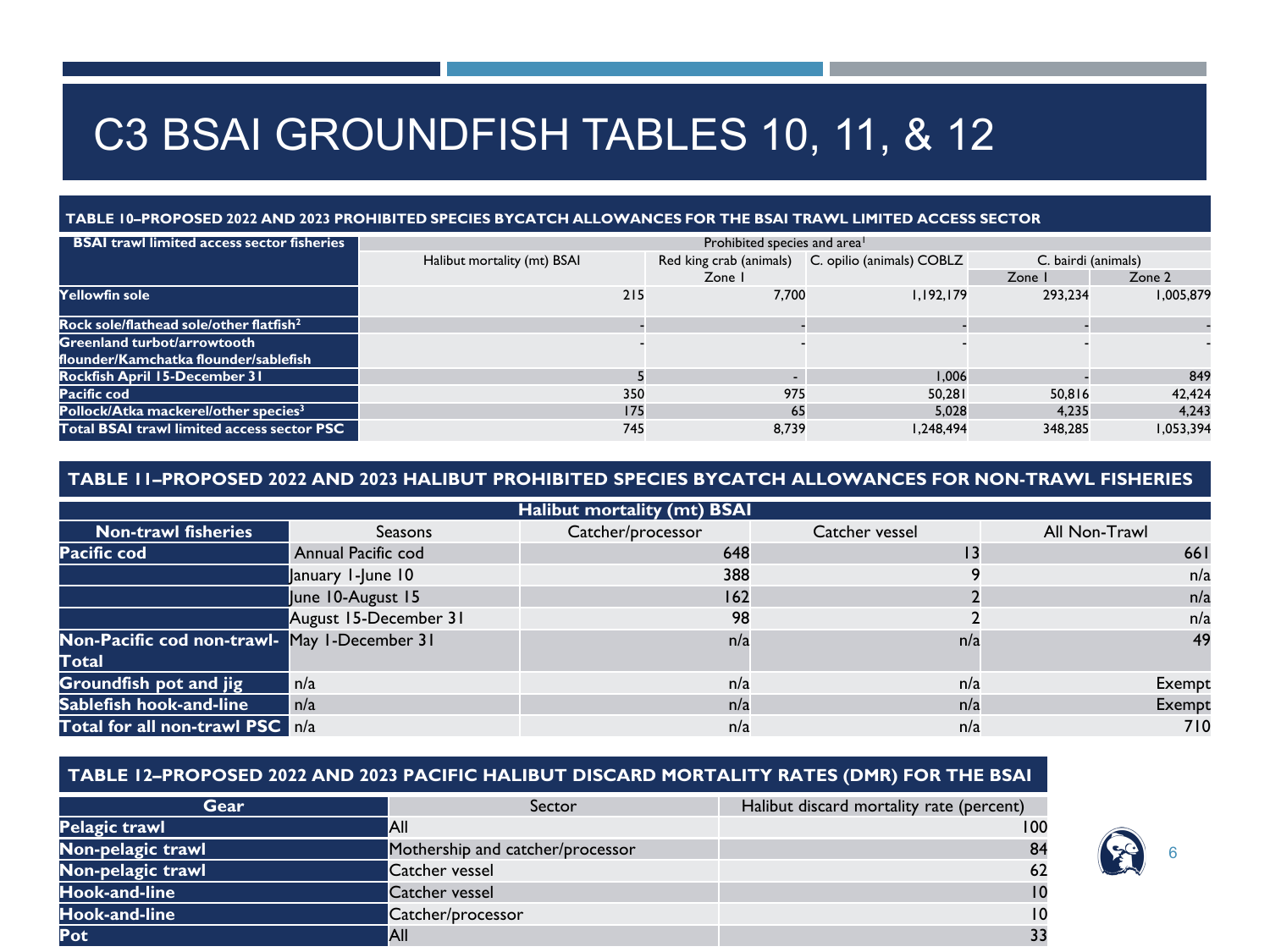## C3 BSAI GROUNDFISH TABLES 10, 11, & 12

#### **TABLE 10–PROPOSED 2022 AND 2023 PROHIBITED SPECIES BYCATCH ALLOWANCES FOR THE BSAI TRAWL LIMITED ACCESS SECTOR**

| <b>BSAI trawl limited access sector fisheries</b>   | Prohibited species and area <sup>1</sup> |                         |                           |                     |           |  |  |
|-----------------------------------------------------|------------------------------------------|-------------------------|---------------------------|---------------------|-----------|--|--|
|                                                     | Halibut mortality (mt) BSAI              | Red king crab (animals) | C. opilio (animals) COBLZ | C. bairdi (animals) |           |  |  |
|                                                     |                                          | Zone I                  |                           | Zone I              | Zone 2    |  |  |
| Yellowfin sole                                      | 215                                      | 7.700                   | 1.192.179                 | 293.234             | 1.005.879 |  |  |
| Rock sole/flathead sole/other flatfish <sup>2</sup> |                                          |                         |                           |                     |           |  |  |
| <b>Greenland turbot/arrowtooth</b>                  |                                          |                         |                           |                     |           |  |  |
| flounder/Kamchatka flounder/sablefish               |                                          |                         |                           |                     |           |  |  |
| <b>Rockfish April 15-December 31</b>                |                                          |                         | 1.006                     |                     | 849       |  |  |
| Pacific cod                                         | 350                                      | 975                     | 50.281                    | 50.816              | 42.424    |  |  |
| Pollock/Atka mackerel/other species <sup>3</sup>    | 175                                      | 65                      | 5.028                     | 4.235               | 4.243     |  |  |
| Total BSAI trawl limited access sector PSC          | 745                                      | 8.739                   | 1,248,494                 | 348,285             | 1.053.394 |  |  |

### **TABLE 11–PROPOSED 2022 AND 2023 HALIBUT PROHIBITED SPECIES BYCATCH ALLOWANCES FOR NON-TRAWL FISHERIES**

|                                              |                       | <b>Halibut mortality (mt) BSAI</b> |                |               |
|----------------------------------------------|-----------------------|------------------------------------|----------------|---------------|
| <b>Non-trawl fisheries</b>                   | Seasons               | Catcher/processor                  | Catcher vessel | All Non-Trawl |
| Pacific cod                                  | Annual Pacific cod    | 648                                |                | 661           |
|                                              | January 1-June 10     | 388                                |                | n/a           |
|                                              | June 10-August 15     | 162                                |                | n/a           |
|                                              | August 15-December 31 | 98                                 |                | n/a           |
| Non-Pacific cod non-trawl- May I-December 31 |                       | n/a                                | n/a            | 49            |
| Total                                        |                       |                                    |                |               |
| Groundfish pot and jig                       | n/a                   | n/a                                | n/a            | Exempt        |
| Sablefish hook-and-line                      | n/a                   | n/a                                | n/a            | Exempt        |
| Total for all non-trawl PSC n/a              |                       | n/a                                | n/a            | 710           |

### **TABLE 12–PROPOSED 2022 AND 2023 PACIFIC HALIBUT DISCARD MORTALITY RATES (DMR) FOR THE BSAI**

| Gear              | Sector                           | Halibut discard mortality rate (percent) |
|-------------------|----------------------------------|------------------------------------------|
| Pelagic trawl     | lAll                             | 100                                      |
| Non-pelagic trawl | Mothership and catcher/processor | 84                                       |
| Non-pelagic trawl | Catcher vessel                   | 62                                       |
| Hook-and-line     | Catcher vessel                   | $\overline{10}$                          |
| Hook-and-line     | Catcher/processor                | 10                                       |
| Pot               | <b>AII</b>                       | 33                                       |

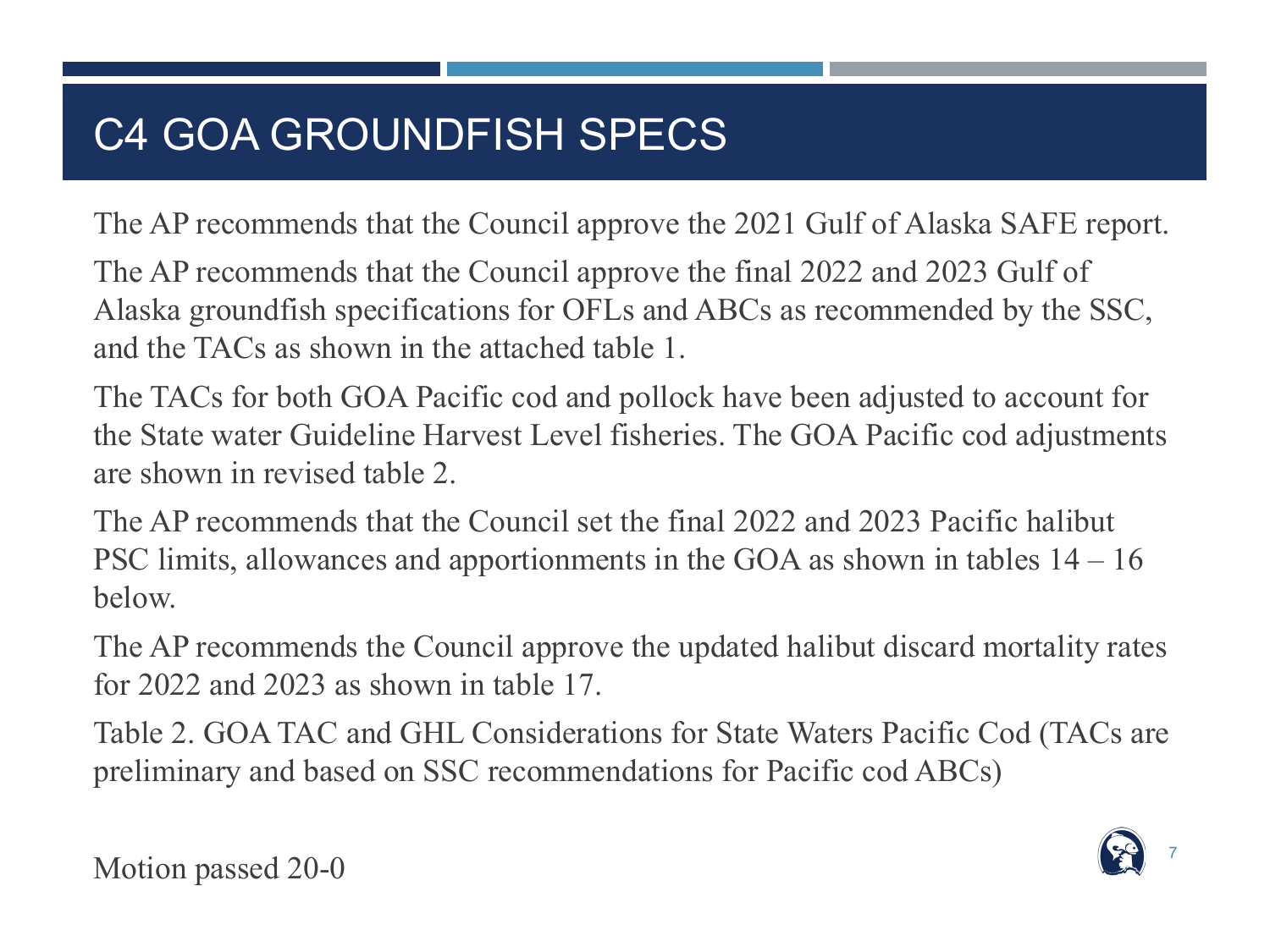# C4 GOA GROUNDFISH SPECS

The AP recommends that the Council approve the 2021 Gulf of Alaska SAFE report.

The AP recommends that the Council approve the final 2022 and 2023 Gulf of Alaska groundfish specifications for OFLs and ABCs as recommended by the SSC, and the TACs as shown in the attached table 1.

The TACs for both GOA Pacific cod and pollock have been adjusted to account for the State water Guideline Harvest Level fisheries. The GOA Pacific cod adjustments are shown in revised table 2.

The AP recommends that the Council set the final 2022 and 2023 Pacific halibut PSC limits, allowances and apportionments in the GOA as shown in tables 14 – 16 below.

The AP recommends the Council approve the updated halibut discard mortality rates for 2022 and 2023 as shown in table 17.

Table 2. GOA TAC and GHL Considerations for State Waters Pacific Cod (TACs are preliminary and based on SSC recommendations for Pacific cod ABCs)



Motion passed 20-0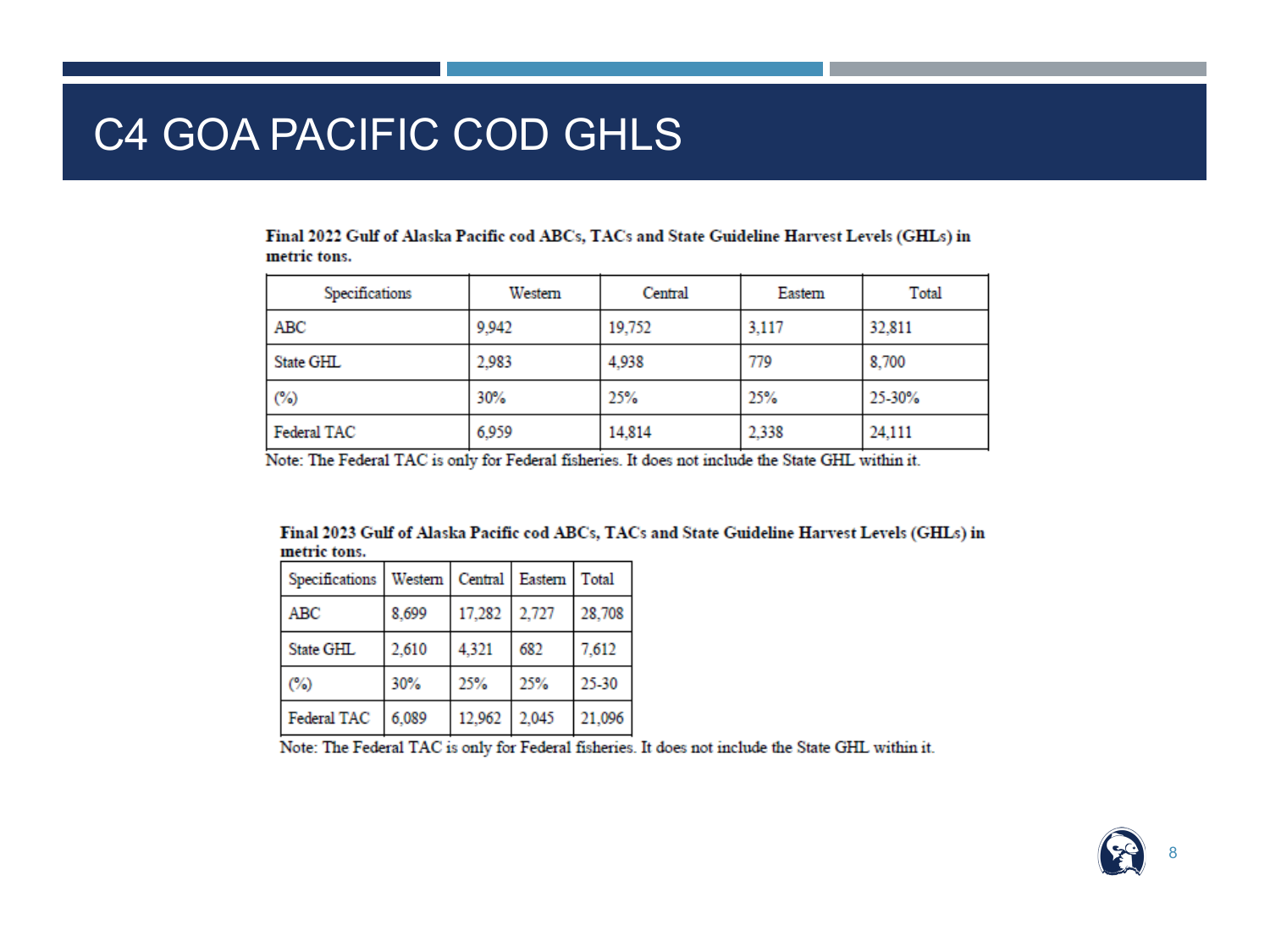## C4 GOA PACIFIC COD GHLS

Final 2022 Gulf of Alaska Pacific cod ABCs, TACs and State Guideline Harvest Levels (GHLs) in metric tons.

| Specifications | Western | Central | Eastern | Total  |
|----------------|---------|---------|---------|--------|
| ABC            | 9,942   | 19,752  | 3,117   | 32,811 |
| State GHL      | 2.983   | 4,938   | 779     | 8,700  |
| (%)            | 30%     | 25%     | 25%     | 25-30% |
| Federal TAC    | 6.959   | 14,814  | 2,338   | 24,111 |

Note: The Federal TAC is only for Federal fisheries. It does not include the State GHL within it.

Final 2023 Gulf of Alaska Pacific cod ABCs, TACs and State Guideline Harvest Levels (GHLs) in metric tons.

| Specifications | Western   Central   Eastern   Total |        |       |        |
|----------------|-------------------------------------|--------|-------|--------|
| ABC            | 8,699                               | 17,282 | 2,727 | 28,708 |
| State GHL      | 2,610                               | 4,321  | 682   | 7,612  |
| (%)            | 30%                                 | 25%    | 25%   | 25-30  |
| Federal TAC    | 6.089                               | 12,962 | 2.045 | 21,096 |

Note: The Federal TAC is only for Federal fisheries. It does not include the State GHL within it.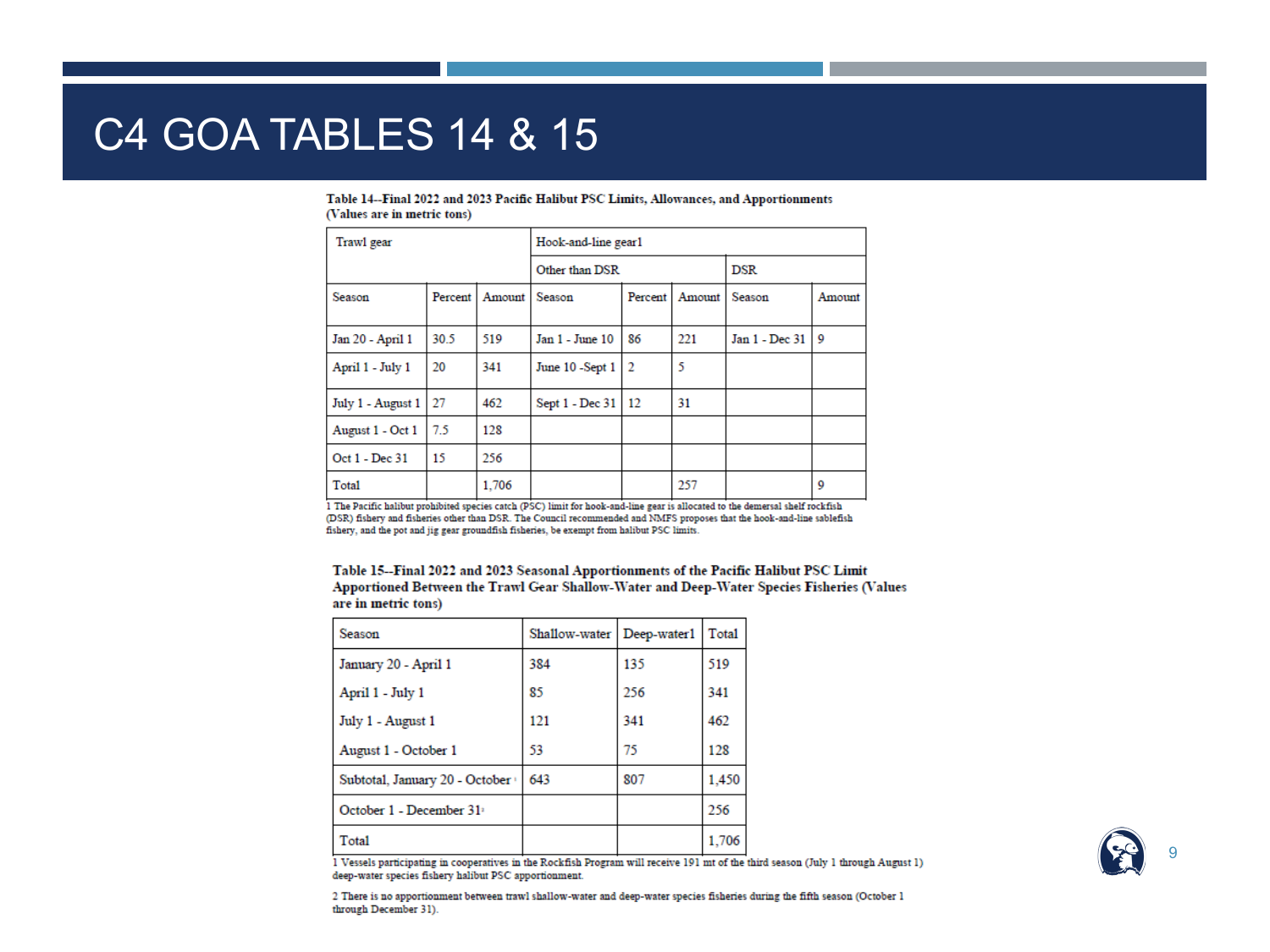### **C4 GOA TABLES 14 & 15**

| Trawl gear        |         |        | Hook-and-line gearl |                |        |                |            |  |
|-------------------|---------|--------|---------------------|----------------|--------|----------------|------------|--|
|                   |         |        |                     | Other than DSR |        |                | <b>DSR</b> |  |
| Season            | Percent | Amount | Season              | Percent        | Amount | Season         | Amount     |  |
| Jan 20 - April 1  | 30.5    | 519    | Jan 1 - June 10     | 86             | 221    | Jan 1 - Dec 31 | Q          |  |
| April 1 - July 1  | 20      | 341    | June 10 -Sept 1     | $\overline{2}$ | 5      |                |            |  |
| July 1 - August 1 | 27      | 462    | Sept 1 - Dec 31     | -12            | 31     |                |            |  |
| August 1 - Oct 1  | 7.5     | 128    |                     |                |        |                |            |  |
| Oct 1 - Dec 31    | 15      | 256    |                     |                |        |                |            |  |
| Total             |         | 1.706  |                     |                | 257    |                | 9          |  |

#### Table 14--Final 2022 and 2023 Pacific Halibut PSC Limits, Allowances, and Apportionments (Values are in metric tons)

1 The Pacific halibut prohibited species catch (PSC) limit for hook-and-line gear is allocated to the demersal shelf rockfish (DSR) fishery and fisheries other than DSR. The Council recommended and NMFS proposes that the hook-and-line sablefish fishery, and the pot and jig gear groundfish fisheries, be exempt from halibut PSC limits.

| Table 15--Final 2022 and 2023 Seasonal Apportionments of the Pacific Halibut PSC Limit    |
|-------------------------------------------------------------------------------------------|
| Apportioned Between the Trawl Gear Shallow-Water and Deep-Water Species Fisheries (Values |
| are in metric tons)                                                                       |

| Season                               | Shallow-water   Deep-water1 |     | Total |
|--------------------------------------|-----------------------------|-----|-------|
| January 20 - April 1                 | 384                         | 135 | 519   |
| April 1 - July 1                     | 85                          | 256 | 341   |
| July 1 - August 1                    | 121                         | 341 | 462   |
| August 1 - October 1                 | 53                          | 75  | 128   |
| Subtotal, January 20 - October       | 643                         | 807 | 1,450 |
| October 1 - December 31 <sup>2</sup> |                             |     | 256   |
| Total                                |                             |     | 1,706 |

1 Vessels participating in cooperatives in the Rockfish Program will receive 191 mt of the third season (July 1 through August 1) deep-water species fishery halibut PSC apportionment.

2 There is no apportionment between trawl shallow-water and deep-water species fisheries during the fifth season (October 1 through December 31).

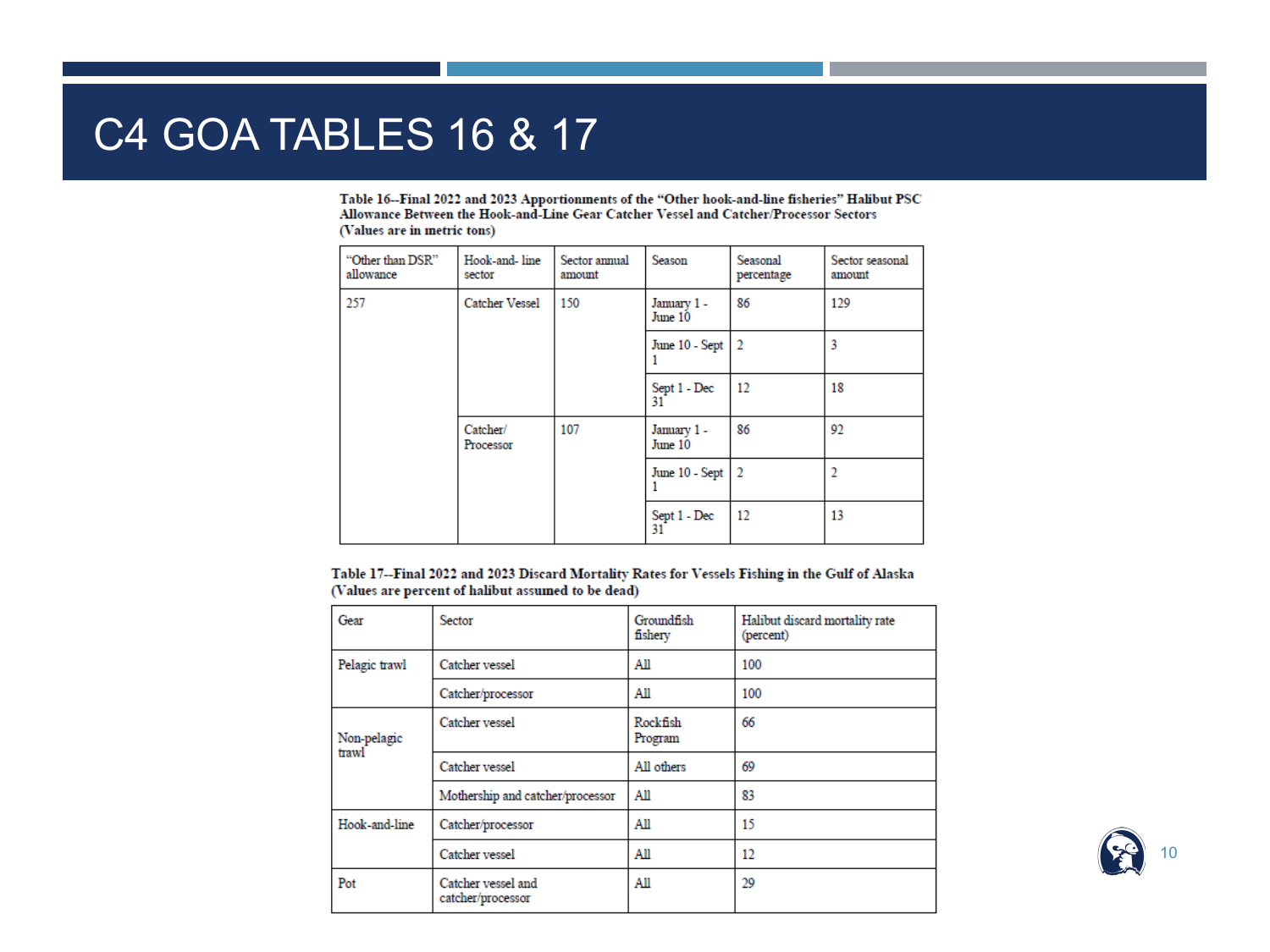### C4 GOA TABLES 16 & 17

Table 16--Final 2022 and 2023 Apportionments of the "Other hook-and-line fisheries" Halibut PSC Allowance Between the Hook-and-Line Gear Catcher Vessel and Catcher/Processor Sectors (Values are in metric tons)

| "Other than DSR"<br>allowance       | Hook-and-line<br>sector | Sector annual<br>amount | Season                 | Seasonal<br>percentage | Sector seasonal<br>amount |
|-------------------------------------|-------------------------|-------------------------|------------------------|------------------------|---------------------------|
| 257<br><b>Catcher Vessel</b><br>150 |                         |                         | January 1-<br>June 10  | 86                     | 129                       |
|                                     |                         |                         | June 10 - Sept         | $\overline{2}$         | 3                         |
|                                     |                         |                         | Sept 1 - Dec<br>31     | 12                     | 18                        |
|                                     | Catcher/<br>Processor   | 107                     | January 1 -<br>June 10 | 86                     | 92                        |
|                                     |                         |                         | June 10 - Sept         | $\overline{2}$         |                           |
|                                     |                         |                         | Sept 1 - Dec<br>31     | 12                     | 13                        |

Table 17--Final 2022 and 2023 Discard Mortality Rates for Vessels Fishing in the Gulf of Alaska (Values are percent of halibut assumed to be dead)

| Gear                 | <b>Sector</b>                           | Groundfish<br>fishery | Halibut discard mortality rate<br>(percent) |
|----------------------|-----------------------------------------|-----------------------|---------------------------------------------|
| Pelagic trawl        | Catcher vessel                          | All                   | 100                                         |
|                      | Catcher/processor                       | All                   | 100                                         |
| Non-pelagic<br>trawl | Catcher vessel                          | Rockfish<br>Program   | 66                                          |
|                      | Catcher vessel                          | All others            | 69                                          |
|                      | Mothership and catcher/processor        | All                   | 83                                          |
| Hook-and-line        | Catcher/processor                       | All                   | 15                                          |
|                      | Catcher vessel                          | All                   | 12                                          |
| Pot                  | Catcher vessel and<br>catcher/processor | All                   | 29                                          |